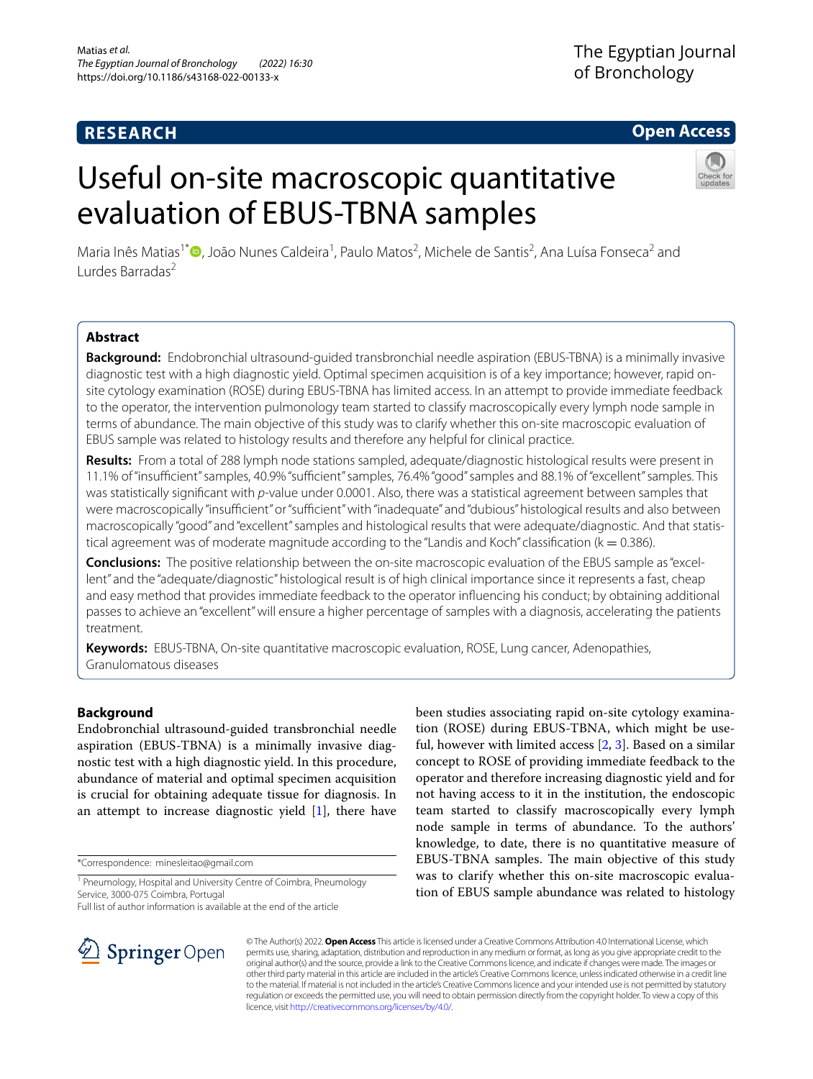# **RESEARCH**

# **Open Access**

# Useful on-site macroscopic quantitative evaluation of EBUS-TBNA samples



Maria Inês Matias<sup>1\*</sup>®[,](http://orcid.org/0000-0003-0816-7465) João Nunes Caldeira<sup>1</sup>, Paulo Matos<sup>2</sup>, Michele de Santis<sup>2</sup>, Ana Luísa Fonseca<sup>2</sup> and Lurdes Barradas2

# **Abstract**

**Background:** Endobronchial ultrasound-guided transbronchial needle aspiration (EBUS-TBNA) is a minimally invasive diagnostic test with a high diagnostic yield. Optimal specimen acquisition is of a key importance; however, rapid onsite cytology examination (ROSE) during EBUS-TBNA has limited access. In an attempt to provide immediate feedback to the operator, the intervention pulmonology team started to classify macroscopically every lymph node sample in terms of abundance. The main objective of this study was to clarify whether this on-site macroscopic evaluation of EBUS sample was related to histology results and therefore any helpful for clinical practice.

**Results:** From a total of 288 lymph node stations sampled, adequate/diagnostic histological results were present in 11.1% of "insufficient" samples, 40.9% "sufficient" samples, 76.4% "good" samples and 88.1% of "excellent" samples. This was statistically signifcant with *p*-value under 0.0001. Also, there was a statistical agreement between samples that were macroscopically "insufficient" or "sufficient" with "inadequate" and "dubious" histological results and also between macroscopically "good" and "excellent" samples and histological results that were adequate/diagnostic. And that statistical agreement was of moderate magnitude according to the "Landis and Koch" classification ( $k = 0.386$ ).

**Conclusions:** The positive relationship between the on-site macroscopic evaluation of the EBUS sample as "excellent" and the "adequate/diagnostic" histological result is of high clinical importance since it represents a fast, cheap and easy method that provides immediate feedback to the operator infuencing his conduct; by obtaining additional passes to achieve an "excellent" will ensure a higher percentage of samples with a diagnosis, accelerating the patients treatment.

**Keywords:** EBUS-TBNA, On-site quantitative macroscopic evaluation, ROSE, Lung cancer, Adenopathies, Granulomatous diseases

# **Background**

Endobronchial ultrasound-guided transbronchial needle aspiration (EBUS-TBNA) is a minimally invasive diagnostic test with a high diagnostic yield. In this procedure, abundance of material and optimal specimen acquisition is crucial for obtaining adequate tissue for diagnosis. In an attempt to increase diagnostic yield  $[1]$  $[1]$ , there have

\*Correspondence: minesleitao@gmail.com

Full list of author information is available at the end of the article

been studies associating rapid on-site cytology examination (ROSE) during EBUS-TBNA, which might be useful, however with limited access [\[2](#page-3-1), [3\]](#page-3-2). Based on a similar concept to ROSE of providing immediate feedback to the operator and therefore increasing diagnostic yield and for not having access to it in the institution, the endoscopic team started to classify macroscopically every lymph node sample in terms of abundance. To the authors' knowledge, to date, there is no quantitative measure of EBUS-TBNA samples. The main objective of this study was to clarify whether this on-site macroscopic evaluation of EBUS sample abundance was related to histology



© The Author(s) 2022. **Open Access** This article is licensed under a Creative Commons Attribution 4.0 International License, which permits use, sharing, adaptation, distribution and reproduction in any medium or format, as long as you give appropriate credit to the original author(s) and the source, provide a link to the Creative Commons licence, and indicate if changes were made. The images or other third party material in this article are included in the article's Creative Commons licence, unless indicated otherwise in a credit line to the material. If material is not included in the article's Creative Commons licence and your intended use is not permitted by statutory regulation or exceeds the permitted use, you will need to obtain permission directly from the copyright holder. To view a copy of this licence, visit [http://creativecommons.org/licenses/by/4.0/.](http://creativecommons.org/licenses/by/4.0/)

<sup>&</sup>lt;sup>1</sup> Pneumology, Hospital and University Centre of Coimbra, Pneumology Service, 3000-075 Coimbra, Portugal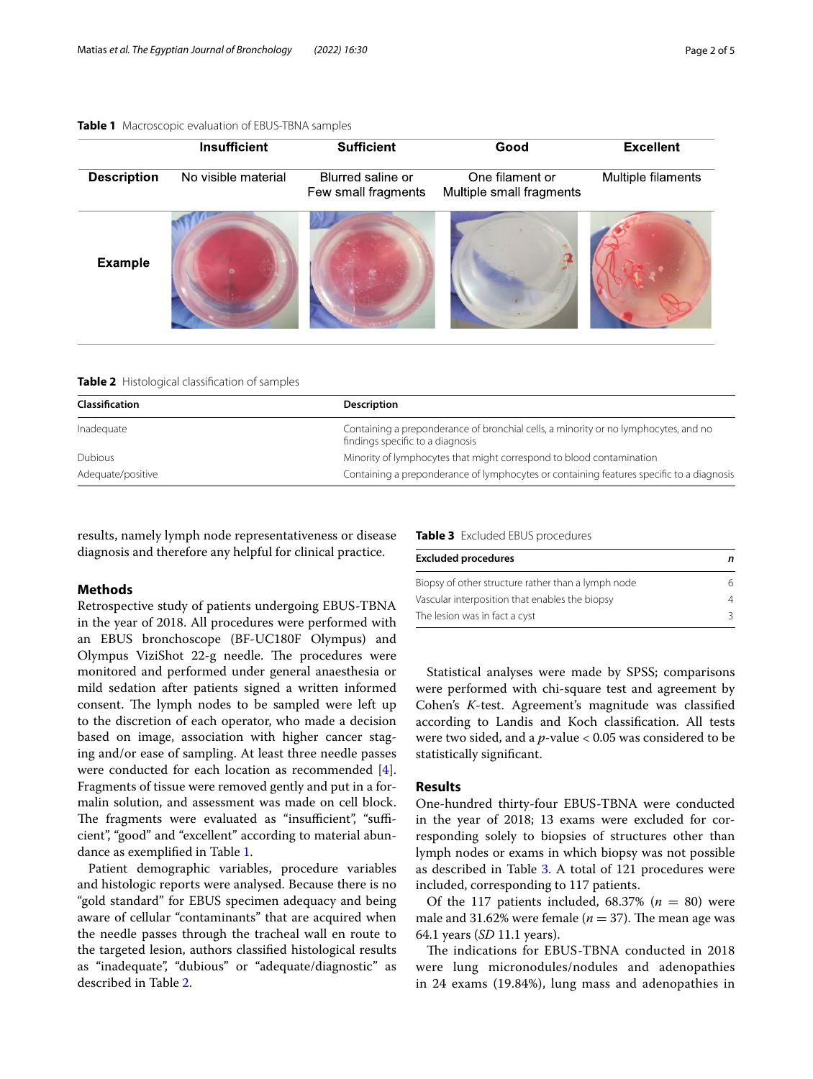<span id="page-1-0"></span>**Table 1** Macroscopic evaluation of EBUS-TBNA samples

|                    | <b>Insufficient</b> | <b>Sufficient</b>                        | Good                                        | <b>Excellent</b>   |
|--------------------|---------------------|------------------------------------------|---------------------------------------------|--------------------|
| <b>Description</b> | No visible material | Blurred saline or<br>Few small fragments | One filament or<br>Multiple small fragments | Multiple filaments |
| <b>Example</b>     |                     |                                          |                                             |                    |

<span id="page-1-1"></span>

|  | <b>Table 2</b> Histological classification of samples |  |  |
|--|-------------------------------------------------------|--|--|
|--|-------------------------------------------------------|--|--|

| <b>Classification</b> | Description                                                                                                             |
|-----------------------|-------------------------------------------------------------------------------------------------------------------------|
| Inadequate            | Containing a preponderance of bronchial cells, a minority or no lymphocytes, and no<br>findings specific to a diagnosis |
| <b>Dubious</b>        | Minority of lymphocytes that might correspond to blood contamination                                                    |
| Adequate/positive     | Containing a preponderance of lymphocytes or containing features specific to a diagnosis                                |
|                       |                                                                                                                         |

results, namely lymph node representativeness or disease diagnosis and therefore any helpful for clinical practice.

# **Methods**

Retrospective study of patients undergoing EBUS-TBNA in the year of 2018. All procedures were performed with an EBUS bronchoscope (BF-UC180F Olympus) and Olympus ViziShot 22-g needle. The procedures were monitored and performed under general anaesthesia or mild sedation after patients signed a written informed consent. The lymph nodes to be sampled were left up to the discretion of each operator, who made a decision based on image, association with higher cancer staging and/or ease of sampling. At least three needle passes were conducted for each location as recommended [\[4](#page-3-3)]. Fragments of tissue were removed gently and put in a formalin solution, and assessment was made on cell block. The fragments were evaluated as "insufficient", "sufficient", "good" and "excellent" according to material abundance as exemplifed in Table [1](#page-1-0).

Patient demographic variables, procedure variables and histologic reports were analysed. Because there is no "gold standard" for EBUS specimen adequacy and being aware of cellular "contaminants" that are acquired when the needle passes through the tracheal wall en route to the targeted lesion, authors classifed histological results as "inadequate", "dubious" or "adequate/diagnostic" as described in Table [2.](#page-1-1)

<span id="page-1-2"></span>**Table 3** Excluded EBUS procedures

| <b>Excluded procedures</b>                         | n |  |
|----------------------------------------------------|---|--|
| Biopsy of other structure rather than a lymph node | 6 |  |
| Vascular interposition that enables the biopsy     | 4 |  |
| The lesion was in fact a cyst                      | २ |  |

Statistical analyses were made by SPSS; comparisons were performed with chi-square test and agreement by Cohen's *K*-test. Agreement's magnitude was classifed according to Landis and Koch classifcation. All tests were two sided, and a *p*-value < 0.05 was considered to be statistically signifcant.

# **Results**

One-hundred thirty-four EBUS-TBNA were conducted in the year of 2018; 13 exams were excluded for corresponding solely to biopsies of structures other than lymph nodes or exams in which biopsy was not possible as described in Table [3.](#page-1-2) A total of 121 procedures were included, corresponding to 117 patients.

Of the 117 patients included,  $68.37\%$  ( $n = 80$ ) were male and 31.62% were female ( $n = 37$ ). The mean age was 64.1 years (*SD* 11.1 years).

The indications for EBUS-TBNA conducted in 2018 were lung micronodules/nodules and adenopathies in 24 exams (19.84%), lung mass and adenopathies in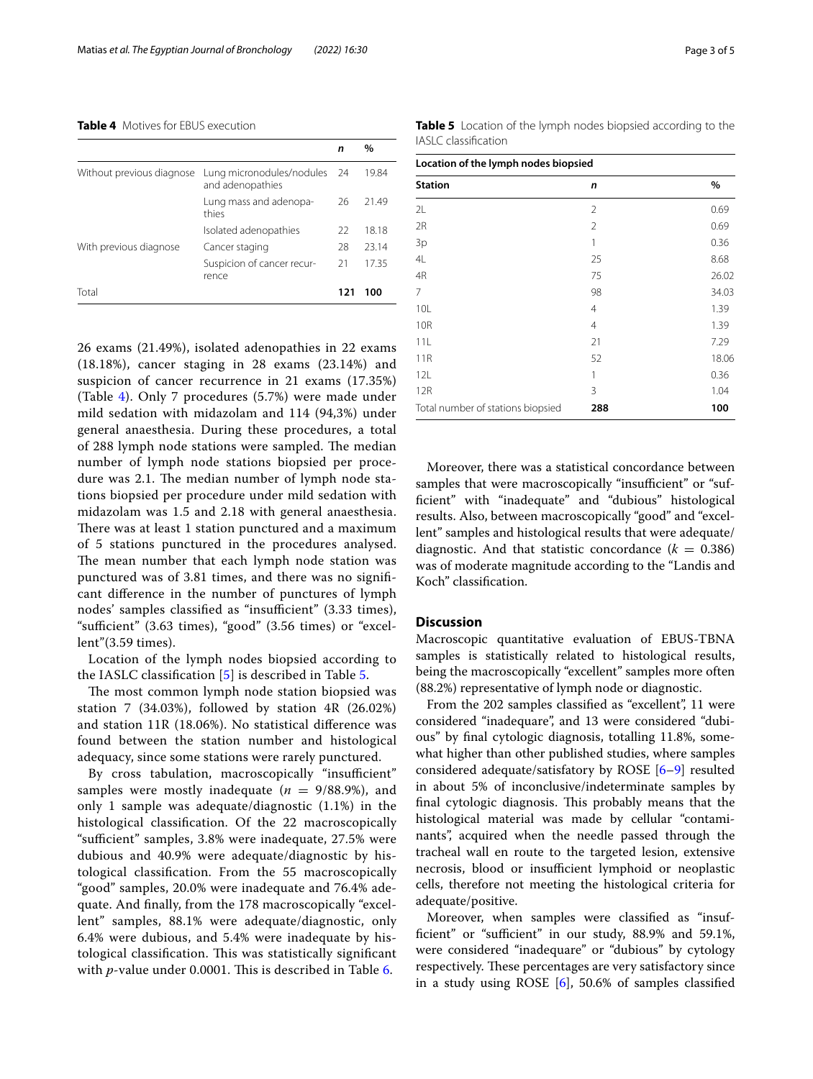#### <span id="page-2-0"></span>**Table 4** Motives for EBUS execution

|                           |                                                  | n   | $\%$  |
|---------------------------|--------------------------------------------------|-----|-------|
| Without previous diagnose | Lung micronodules/nodules 24<br>and adenopathies |     | 19.84 |
|                           | Lung mass and adenopa-<br>thies                  | 26  | 21.49 |
|                           | Isolated adenopathies                            | 22  | 18.18 |
| With previous diagnose    | Cancer staging                                   | 28  | 23.14 |
|                           | Suspicion of cancer recur-<br>rence              | 21  | 17.35 |
| Total                     |                                                  | 121 | 100   |

26 exams (21.49%), isolated adenopathies in 22 exams (18.18%), cancer staging in 28 exams (23.14%) and suspicion of cancer recurrence in 21 exams (17.35%) (Table [4\)](#page-2-0). Only 7 procedures (5.7%) were made under mild sedation with midazolam and 114 (94,3%) under general anaesthesia. During these procedures, a total of 288 lymph node stations were sampled. The median number of lymph node stations biopsied per procedure was 2.1. The median number of lymph node stations biopsied per procedure under mild sedation with midazolam was 1.5 and 2.18 with general anaesthesia. There was at least 1 station punctured and a maximum of 5 stations punctured in the procedures analysed. The mean number that each lymph node station was punctured was of 3.81 times, and there was no signifcant diference in the number of punctures of lymph nodes' samples classified as "insufficient" (3.33 times), "sufficient" (3.63 times), "good" (3.56 times) or "excellent"(3.59 times).

Location of the lymph nodes biopsied according to the IASLC classifcation [[5\]](#page-3-4) is described in Table [5](#page-2-1).

The most common lymph node station biopsied was station 7 (34.03%), followed by station 4R (26.02%) and station 11R (18.06%). No statistical diference was found between the station number and histological adequacy, since some stations were rarely punctured.

By cross tabulation, macroscopically "insufficient" samples were mostly inadequate  $(n = 9/88.9\%)$ , and only 1 sample was adequate/diagnostic (1.1%) in the histological classifcation. Of the 22 macroscopically "sufficient" samples, 3.8% were inadequate, 27.5% were dubious and 40.9% were adequate/diagnostic by histological classifcation. From the 55 macroscopically "good" samples, 20.0% were inadequate and 76.4% adequate. And fnally, from the 178 macroscopically "excellent" samples, 88.1% were adequate/diagnostic, only 6.4% were dubious, and 5.4% were inadequate by histological classification. This was statistically significant with *p*-value under 0.0001. This is described in Table [6.](#page-3-5)

| Location of the lymph nodes biopsied |                |       |  |
|--------------------------------------|----------------|-------|--|
| <b>Station</b>                       | n              | $\%$  |  |
| 2L                                   | 2              | 0.69  |  |
| 2R                                   | $\overline{2}$ | 0.69  |  |
| 3p                                   | 1              | 0.36  |  |
| 4L                                   | 25             | 8.68  |  |
| 4R                                   | 75             | 26.02 |  |
| $\overline{7}$                       | 98             | 34.03 |  |
| 10L                                  | $\overline{4}$ | 1.39  |  |
| <b>10R</b>                           | $\overline{4}$ | 1.39  |  |
| 11L                                  | 21             | 7.29  |  |
| <b>11R</b>                           | 52             | 18.06 |  |
| 12L                                  | 1              | 0.36  |  |
| 12R                                  | 3              | 1.04  |  |

Moreover, there was a statistical concordance between samples that were macroscopically "insufficient" or "suffcient" with "inadequate" and "dubious" histological results. Also, between macroscopically "good" and "excellent" samples and histological results that were adequate/ diagnostic. And that statistic concordance  $(k = 0.386)$ was of moderate magnitude according to the "Landis and Koch" classifcation.

Total number of stations biopsied **288 100**

## **Discussion**

Macroscopic quantitative evaluation of EBUS-TBNA samples is statistically related to histological results, being the macroscopically "excellent" samples more often (88.2%) representative of lymph node or diagnostic.

From the 202 samples classifed as "excellent", 11 were considered "inadequare", and 13 were considered "dubious" by fnal cytologic diagnosis, totalling 11.8%, somewhat higher than other published studies, where samples considered adequate/satisfatory by ROSE [\[6](#page-3-6)[–9\]](#page-4-0) resulted in about 5% of inconclusive/indeterminate samples by final cytologic diagnosis. This probably means that the histological material was made by cellular "contaminants", acquired when the needle passed through the tracheal wall en route to the targeted lesion, extensive necrosis, blood or insufficient lymphoid or neoplastic cells, therefore not meeting the histological criteria for adequate/positive.

Moreover, when samples were classifed as "insufficient" or "sufficient" in our study, 88.9% and 59.1%, were considered "inadequare" or "dubious" by cytology respectively. These percentages are very satisfactory since in a study using ROSE [[6\]](#page-3-6), 50.6% of samples classifed

<span id="page-2-1"></span>**Table 5** Location of the lymph nodes biopsied according to the IASLC classifcation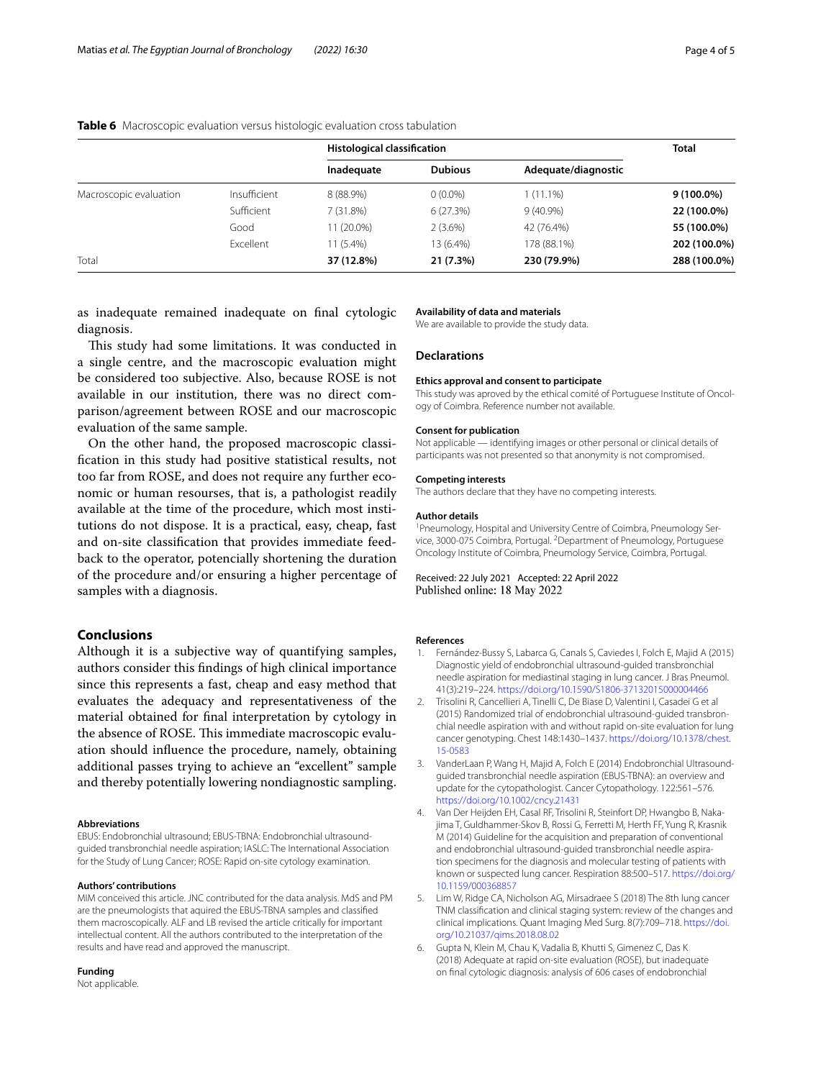|                        |              | <b>Histological classification</b> |                | <b>Total</b>        |              |
|------------------------|--------------|------------------------------------|----------------|---------------------|--------------|
|                        |              | Inadequate                         | <b>Dubious</b> | Adequate/diagnostic |              |
| Macroscopic evaluation | Insufficient | 8 (88.9%)                          | $0(0.0\%)$     | $1(11.1\%)$         | $9(100.0\%)$ |
|                        | Sufficient   | 7(31.8%)                           | 6(27.3%)       | $9(40.9\%)$         | 22 (100.0%)  |
|                        | Good         | 11 (20.0%)                         | $2(3.6\%)$     | 42 (76.4%)          | 55 (100.0%)  |
|                        | Excellent    | 11 (5.4%)                          | 13 (6.4%)      | 178 (88.1%)         | 202 (100.0%) |
| Total                  |              | 37 (12.8%)                         | 21 (7.3%)      | 230 (79.9%)         | 288 (100.0%) |

<span id="page-3-5"></span>**Table 6** Macroscopic evaluation versus histologic evaluation cross tabulation

as inadequate remained inadequate on fnal cytologic diagnosis.

This study had some limitations. It was conducted in a single centre, and the macroscopic evaluation might be considered too subjective. Also, because ROSE is not available in our institution, there was no direct comparison/agreement between ROSE and our macroscopic evaluation of the same sample.

On the other hand, the proposed macroscopic classifcation in this study had positive statistical results, not too far from ROSE, and does not require any further economic or human resourses, that is, a pathologist readily available at the time of the procedure, which most institutions do not dispose. It is a practical, easy, cheap, fast and on-site classifcation that provides immediate feedback to the operator, potencially shortening the duration of the procedure and/or ensuring a higher percentage of samples with a diagnosis.

## **Conclusions**

Although it is a subjective way of quantifying samples, authors consider this fndings of high clinical importance since this represents a fast, cheap and easy method that evaluates the adequacy and representativeness of the material obtained for fnal interpretation by cytology in the absence of ROSE. This immediate macroscopic evaluation should infuence the procedure, namely, obtaining additional passes trying to achieve an "excellent" sample and thereby potentially lowering nondiagnostic sampling.

#### **Abbreviations**

EBUS: Endobronchial ultrasound; EBUS-TBNA: Endobronchial ultrasoundguided transbronchial needle aspiration; IASLC: The International Association for the Study of Lung Cancer; ROSE: Rapid on-site cytology examination.

#### **Authors' contributions**

MIM conceived this article. JNC contributed for the data analysis. MdS and PM are the pneumologists that aquired the EBUS-TBNA samples and classifed them macroscopically. ALF and LB revised the article critically for important intellectual content. All the authors contributed to the interpretation of the results and have read and approved the manuscript.

#### **Funding**

Not applicable.

#### **Availability of data and materials**

We are available to provide the study data.

## **Declarations**

#### **Ethics approval and consent to participate**

This study was aproved by the ethical comité of Portuguese Institute of Oncology of Coimbra. Reference number not available.

#### **Consent for publication**

Not applicable — identifying images or other personal or clinical details of participants was not presented so that anonymity is not compromised.

#### **Competing interests**

The authors declare that they have no competing interests.

#### **Author details**

<sup>1</sup> Pneumology, Hospital and University Centre of Coimbra, Pneumology Service, 3000-075 Coimbra, Portugal. <sup>2</sup> Department of Pneumology, Portuguese Oncology Institute of Coimbra, Pneumology Service, Coimbra, Portugal.

Received: 22 July 2021 Accepted: 22 April 2022 Published online: 18 May 2022

#### **References**

- <span id="page-3-0"></span>1. Fernández-Bussy S, Labarca G, Canals S, Caviedes I, Folch E, Majid A (2015) Diagnostic yield of endobronchial ultrasound-guided transbronchial needle aspiration for mediastinal staging in lung cancer. J Bras Pneumol. 41(3):219–224. <https://doi.org/10.1590/S1806-37132015000004466>
- <span id="page-3-1"></span>2. Trisolini R, Cancellieri A, Tinelli C, De Biase D, Valentini I, Casadei G et al (2015) Randomized trial of endobronchial ultrasound-guided transbronchial needle aspiration with and without rapid on-site evaluation for lung cancer genotyping. Chest 148:1430–1437. [https://doi.org/10.1378/chest.](https://doi.org/10.1378/chest.15-0583) [15-0583](https://doi.org/10.1378/chest.15-0583)
- <span id="page-3-2"></span>3. VanderLaan P, Wang H, Majid A, Folch E (2014) Endobronchial Ultrasoundguided transbronchial needle aspiration (EBUS-TBNA): an overview and update for the cytopathologist. Cancer Cytopathology. 122:561–576. <https://doi.org/10.1002/cncy.21431>
- <span id="page-3-3"></span>4. Van Der Heijden EH, Casal RF, Trisolini R, Steinfort DP, Hwangbo B, Nakajima T, Guldhammer-Skov B, Rossi G, Ferretti M, Herth FF, Yung R, Krasnik M (2014) Guideline for the acquisition and preparation of conventional and endobronchial ultrasound-guided transbronchial needle aspiration specimens for the diagnosis and molecular testing of patients with known or suspected lung cancer. Respiration 88:500–517. [https://doi.org/](https://doi.org/10.1159/000368857) [10.1159/000368857](https://doi.org/10.1159/000368857)
- <span id="page-3-4"></span>5. Lim W, Ridge CA, Nicholson AG, Mirsadraee S (2018) The 8th lung cancer TNM classifcation and clinical staging system: review of the changes and clinical implications. Quant Imaging Med Surg. 8(7):709–718. [https://doi.](https://doi.org/10.21037/qims.2018.08.02) [org/10.21037/qims.2018.08.02](https://doi.org/10.21037/qims.2018.08.02)
- <span id="page-3-6"></span>6. Gupta N, Klein M, Chau K, Vadalia B, Khutti S, Gimenez C, Das K (2018) Adequate at rapid on-site evaluation (ROSE), but inadequate on fnal cytologic diagnosis: analysis of 606 cases of endobronchial